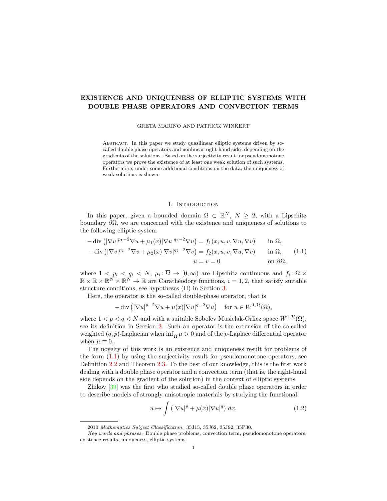# EXISTENCE AND UNIQUENESS OF ELLIPTIC SYSTEMS WITH DOUBLE PHASE OPERATORS AND CONVECTION TERMS

GRETA MARINO AND PATRICK WINKERT

Abstract. In this paper we study quasilinear elliptic systems driven by socalled double phase operators and nonlinear right-hand sides depending on the gradients of the solutions. Based on the surjectivity result for pseudomonotone operators we prove the existence of at least one weak solution of such systems. Furthermore, under some additional conditions on the data, the uniqueness of weak solutions is shown.

## <span id="page-0-0"></span>1. INTRODUCTION

In this paper, given a bounded domain  $\Omega \subset \mathbb{R}^N$ ,  $N \geq 2$ , with a Lipschitz boundary  $\partial\Omega$ , we are concerned with the existence and uniqueness of solutions to the following elliptic system

$$
-\operatorname{div}\left(|\nabla u|^{p_1-2}\nabla u + \mu_1(x)|\nabla u|^{q_1-2}\nabla u\right) = f_1(x, u, v, \nabla u, \nabla v) \quad \text{in } \Omega,
$$
  

$$
-\operatorname{div}\left(|\nabla v|^{p_2-2}\nabla v + \mu_2(x)|\nabla v|^{q_2-2}\nabla v\right) = f_2(x, u, v, \nabla u, \nabla v) \quad \text{in } \Omega,
$$
  

$$
u = v = 0 \quad \text{on } \partial\Omega,
$$
 (1.1)

where  $1 \lt p_i \lt q_i \lt N$ ,  $\mu_i: \overline{\Omega} \to [0,\infty)$  are Lipschitz continuous and  $f_i: \Omega \times$  $\mathbb{R} \times \mathbb{R} \times \mathbb{R}^N \times \mathbb{R}^N \to \mathbb{R}$  are Carathéodory functions,  $i = 1, 2$ , that satisfy suitable structure conditions, see hypotheses (H) in Section [3.](#page-4-0)

Here, the operator is the so-called double-phase operator, that is

$$
-\operatorname{div}\left( |\nabla u|^{p-2} \nabla u + \mu(x) |\nabla u|^{q-2} \nabla u \right) \quad \text{for } u \in W^{1,\mathcal{H}}(\Omega),
$$

where  $1 < p < q < N$  and with a suitable Sobolev Musielak-Orlicz space  $W^{1, \mathcal{H}}(\Omega)$ , see its definition in Section [2.](#page-2-0) Such an operator is the extension of the so-called weighted  $(q, p)$ -Laplacian when  $\inf_{\overline{\Omega}} \mu > 0$  and of the *p*-Laplace differential operator when  $\mu \equiv 0$ .

The novelty of this work is an existence and uniqueness result for problems of the form [\(1.1\)](#page-0-0) by using the surjectivity result for pseudomonotone operators, see Definition [2.2](#page-3-0) and Theorem [2.3.](#page-4-1) To the best of our knowledge, this is the first work dealing with a double phase operator and a convection term (that is, the right-hand side depends on the gradient of the solution) in the context of elliptic systems.

Zhikov [\[39\]](#page-12-0) was the first who studied so-called double phase operators in order to describe models of strongly anisotropic materials by studying the functional

<span id="page-0-1"></span>
$$
u \mapsto \int \left( |\nabla u|^p + \mu(x) |\nabla u|^q \right) dx, \tag{1.2}
$$

<sup>2010</sup> Mathematics Subject Classification. 35J15, 35J62, 35J92, 35P30.

Key words and phrases. Double phase problems, convection term, pseudomonotone operators, existence results, uniqueness, elliptic systems.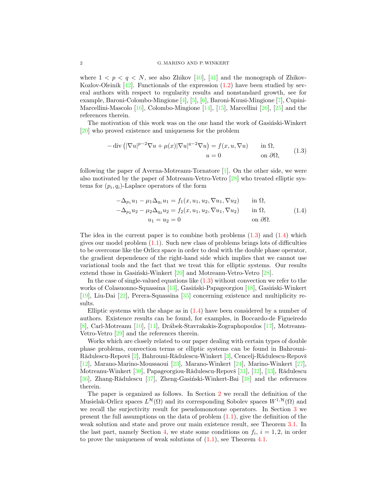where  $1 < p < q < N$ , see also Zhikov [\[40\]](#page-12-1), [\[41\]](#page-12-2) and the monograph of Zhikov-Kozlov-Oleinik  $\left[42\right]$ . Functionals of the expression  $\left(1.2\right)$  have been studied by several authors with respect to regularity results and nonstandard growth, see for example, Baroni-Colombo-Mingione [\[4\]](#page-11-0), [\[5\]](#page-11-1), [\[6\]](#page-11-2), Baroni-Kuusi-Mingione [\[7\]](#page-11-3), Cupini-Marcellini-Mascolo [\[16\]](#page-11-4), Colombo-Mingione [\[14\]](#page-11-5), [\[15\]](#page-11-6), Marcellini [\[26\]](#page-12-4), [\[25\]](#page-12-5) and the references therein.

The motivation of this work was on the one hand the work of Gasingski-Winkert [\[20\]](#page-11-7) who proved existence and uniqueness for the problem

<span id="page-1-0"></span>
$$
-\operatorname{div}\left(|\nabla u|^{p-2}\nabla u + \mu(x)|\nabla u|^{q-2}\nabla u\right) = f(x, u, \nabla u) \quad \text{in } \Omega,
$$
  
\n
$$
u = 0 \quad \text{on } \partial\Omega,
$$
\n(1.3)

following the paper of Averna-Motreanu-Tornatore [\[1\]](#page-11-8). On the other side, we were also motivated by the paper of Motreanu-Vetro-Vetro [\[28\]](#page-12-6) who treated elliptic systems for  $(p_i, q_i)$ -Laplace operators of the form

<span id="page-1-1"></span>
$$
-\Delta_{p_1} u_1 - \mu_1 \Delta_{q_1} u_1 = f_1(x, u_1, u_2, \nabla u_1, \nabla u_2) \quad \text{in } \Omega, -\Delta_{p_2} u_2 - \mu_2 \Delta_{q_2} u_2 = f_2(x, u_1, u_2, \nabla u_1, \nabla u_2) \quad \text{in } \Omega, u_1 = u_2 = 0 \quad \text{on } \partial \Omega.
$$
 (1.4)

The idea in the current paper is to combine both problems  $(1.3)$  and  $(1.4)$  which gives our model problem  $(1.1)$ . Such new class of problems brings lots of difficulties to be overcome like the Orlicz space in order to deal with the double phase operator, the gradient dependence of the right-hand side which implies that we cannot use variational tools and the fact that we treat this for elliptic systems. Our results extend those in Gasinski-Winkert  $[20]$  and Motreanu-Vetro-Vetro  $[28]$ .

In the case of single-valued equations like [\(1.3\)](#page-1-0) without convection we refer to the works of Colasuonno-Squassina [\[13\]](#page-11-9), Gasiński-Papageorgiou [\[18\]](#page-11-10), Gasiński-Winkert [\[19\]](#page-11-11), Liu-Dai [\[22\]](#page-11-12), Perera-Squassina [\[35\]](#page-12-7) concerning existence and multiplicity results.

Elliptic systems with the shape as in  $(1.4)$  have been considered by a number of authors. Existence results can be found, for examples, in Boccardo-de Figueiredo [\[8\]](#page-11-13), Carl-Motreanu [\[10\]](#page-11-14), [\[11\]](#page-11-15), Dr´abek-Stavrakakis-Zographopoulos [\[17\]](#page-11-16), Motreanu-Vetro-Vetro [\[29\]](#page-12-8) and the references therein.

Works which are closely related to our paper dealing with certain types of double phase problems, convection terms or elliptic systems can be found in Bahrouni-Rădulescu-Repovš [\[2\]](#page-11-17), Bahrouni-Rădulescu-Winkert [\[3\]](#page-11-18), Cencelj-Rădulescu-Repovš [\[12\]](#page-11-19), Marano-Marino-Moussaoui [\[23\]](#page-11-20), Marano-Winkert [\[24\]](#page-12-9), Marino-Winkert [\[27\]](#page-12-10), Motreanu-Winkert [\[30\]](#page-12-11), Papageorgiou-Rădulescu-Repovš [\[31\]](#page-12-12), [\[32\]](#page-12-13), [\[33\]](#page-12-14), Rădulescu [\[36\]](#page-12-15), Zhang-Rădulescu [\[37\]](#page-12-16), Zheng-Gasiński-Winkert-Bai [\[38\]](#page-12-17) and the references therein.

The paper is organized as follows. In Section [2](#page-2-0) we recall the definition of the Musielak-Orlicz spaces  $L^{\mathcal{H}}(\Omega)$  and its corresponding Sobolev spaces  $W^{1,\mathcal{H}}(\Omega)$  and we recall the surjectivity result for pseudomonotone operators. In Section [3](#page-4-0) we present the full assumptions on the data of problem  $(1.1)$ , give the definition of the weak solution and state and prove our main existence result, see Theorem [3.1.](#page-6-0) In the last part, namely Section [4,](#page-9-0) we state some conditions on  $f_i$ ,  $i = 1, 2$ , in order to prove the uniqueness of weak solutions of [\(1.1\)](#page-0-0), see Theorem [4.1.](#page-9-1)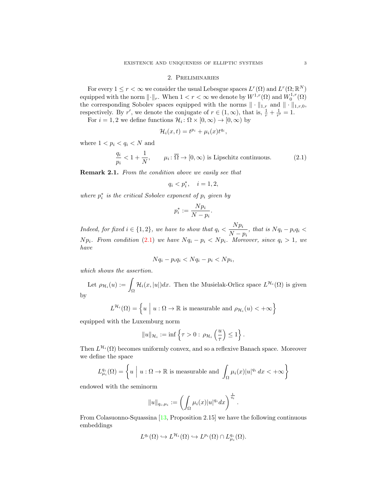### 2. Preliminaries

<span id="page-2-0"></span>For every  $1 \leq r < \infty$  we consider the usual Lebesgue spaces  $L^r(\Omega)$  and  $L^r(\Omega;\mathbb{R}^N)$ equipped with the norm  $\lVert \cdot \rVert_r$ . When  $1 < r < \infty$  we denote by  $W^{1,r}(\Omega)$  and  $W^{1,r}_0(\Omega)$ the corresponding Sobolev spaces equipped with the norms  $\|\cdot\|_{1,r}$  and  $\|\cdot\|_{1,r,0}$ , respectively. By r', we denote the conjugate of  $r \in (1,\infty)$ , that is,  $\frac{1}{r} + \frac{1}{r'} = 1$ .

For  $i = 1, 2$  we define functions  $\mathcal{H}_i : \Omega \times [0, \infty) \to [0, \infty)$  by

$$
\mathcal{H}_i(x,t) = t^{p_i} + \mu_i(x)t^{q_i},
$$

where  $1 < p_i < q_i < N$  and

$$
\frac{q_i}{p_i} < 1 + \frac{1}{N}, \qquad \mu_i \colon \overline{\Omega} \to [0, \infty) \text{ is Lipschitz continuous.} \tag{2.1}
$$

Remark 2.1. From the condition above we easily see that

<span id="page-2-1"></span>
$$
q_i < p_i^*, \quad i = 1, 2,
$$

where  $p_i^*$  is the critical Sobolev exponent of  $p_i$  given by

$$
p_i^* := \frac{N p_i}{N - p_i}.
$$

Indeed, for fixed  $i \in \{1,2\}$ , we have to show that  $q_i < \frac{N p_i}{N}$  $\frac{1}{N-p_i}$ , that is  $Nq_i - p_i q_i <$  $N p_i$ . From condition [\(2.1\)](#page-2-1) we have  $N q_i - p_i < N p_i$ . Moreover, since  $q_i > 1$ , we have

$$
Nq_i - p_iq_i < Nq_i - p_i < Np_i
$$

which shows the assertion.

Let  $\rho_{\mathcal{H}_i}(u) :=$  $\mathcal{H}_i(x, |u|)dx$ . Then the Musielak-Orlicz space  $L^{\mathcal{H}_i}(\Omega)$  is given

by

$$
L^{\mathcal{H}_i}(\Omega) = \left\{ u \mid u : \Omega \to \mathbb{R} \text{ is measurable and } \rho_{\mathcal{H}_i}(u) < +\infty \right\}
$$

equipped with the Luxemburg norm

$$
||u||_{\mathcal{H}_i} := \inf \left\{ \tau > 0 : \, \rho_{\mathcal{H}_i} \left( \frac{u}{\tau} \right) \leq 1 \right\}.
$$

Then  $L^{\mathcal{H}_i}(\Omega)$  becomes uniformly convex, and so a reflexive Banach space. Moreover we define the space

$$
L_{\mu_i}^{q_i}(\Omega) = \left\{ u \mid u : \Omega \to \mathbb{R} \text{ is measurable and } \int_{\Omega} \mu_i(x) |u|^{q_i} dx < +\infty \right\}
$$

endowed with the seminorm

$$
||u||_{q_i,\mu_i} := \left(\int_{\Omega} \mu_i(x)|u|^{q_i} dx\right)^{\frac{1}{q_i}}.
$$

From Colasuonno-Squassina [\[13,](#page-11-9) Proposition 2.15] we have the following continuous embeddings

$$
L^{q_i}(\Omega) \hookrightarrow L^{\mathcal{H}_i}(\Omega) \hookrightarrow L^{p_i}(\Omega) \cap L^{q_i}_{\mu_i}(\Omega).
$$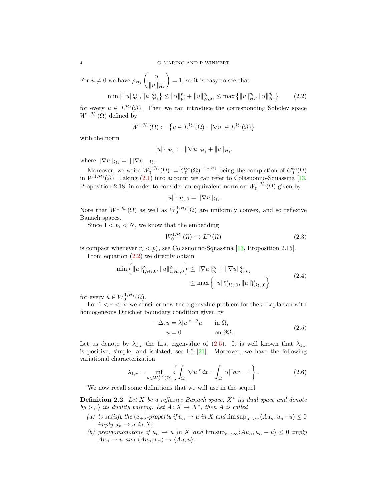For  $u \neq 0$  we have  $\rho_{\mathcal{H}_i} \left( \frac{u}{\|u\|_{\mathcal{H}_i}} \right)$  $||u||_{\mathcal{H}_i}$  $= 1$ , so it is easy to see that

$$
\min\left\{\|u\|_{\mathcal{H}_i}^{p_i},\|u\|_{\mathcal{H}_i}^{q_i}\right\} \le \|u\|_{p_i}^{p_i} + \|u\|_{q_i,\mu_i}^{q_i} \le \max\left\{\|u\|_{\mathcal{H}_i}^{p_i},\|u\|_{\mathcal{H}_i}^{q_i}\right\} \tag{2.2}
$$

for every  $u \in L^{\mathcal{H}_i}(\Omega)$ . Then we can introduce the corresponding Sobolev space  $W^{1,\mathcal{H}_i}(\Omega)$  defined by

$$
W^{1,\mathcal{H}_i}(\Omega) := \left\{ u \in L^{\mathcal{H}_i}(\Omega) : |\nabla u| \in L^{\mathcal{H}_i}(\Omega) \right\}
$$

with the norm

<span id="page-3-1"></span>
$$
||u||_{1,\mathcal{H}_i} := ||\nabla u||_{\mathcal{H}_i} + ||u||_{\mathcal{H}_i},
$$

where  $\|\nabla u\|_{\mathcal{H}_i} = \|\nabla u\|_{\mathcal{H}_i}$ .

Moreover, we write  $W_0^{1,\mathcal{H}_i}(\Omega) := \overline{C_0^{\infty}(\Omega)}^{\|\cdot\|_{1,\mathcal{H}_i}}$  being the completion of  $C_0^{\infty}(\Omega)$ in  $W^{1,\mathcal{H}_i}(\Omega)$ . Taking  $(2.1)$  into account we can refer to Colasuonno-Squassina [\[13,](#page-11-9) Proposition 2.18 in order to consider an equivalent norm on  $W_0^{1, \mathcal{H}_i}(\Omega)$  given by

$$
||u||_{1,\mathcal{H}_i,0} = ||\nabla u||_{\mathcal{H}_i}.
$$

Note that  $W^{1,\mathcal{H}_i}(\Omega)$  as well as  $W_0^{1,\mathcal{H}_i}(\Omega)$  are uniformly convex, and so reflexive Banach spaces.

Since  $1 < p_i < N$ , we know that the embedding

<span id="page-3-5"></span><span id="page-3-3"></span>
$$
W_0^{1, \mathcal{H}_i}(\Omega) \hookrightarrow L^{r_i}(\Omega) \tag{2.3}
$$

is compact whenever  $r_i < p_i^*$ , see Colasuonno-Squassina [\[13,](#page-11-9) Proposition 2.15]. From equation  $(2.2)$  we directly obtain

$$
\min \left\{ \|u\|_{1,\mathcal{H}_i,0}^{p_i}, \|u\|_{1,\mathcal{H}_i,0}^{q_i} \right\} \leq \|\nabla u\|_{p_i}^{p_i} + \|\nabla u\|_{q_i,\mu_i}^{q_i}
$$
\n
$$
\leq \max \left\{ \|u\|_{1,\mathcal{H}_i,0}^{p_i}, \|u\|_{1,\mathcal{H}_i,0}^{q_i} \right\}
$$
\n(2.4)

for every  $u \in W_0^{1, \mathcal{H}_i}(\Omega)$ .

For  $1 < r < \infty$  we consider now the eigenvalue problem for the r-Laplacian with homogeneous Dirichlet boundary condition given by

<span id="page-3-4"></span><span id="page-3-2"></span>
$$
-\Delta_r u = \lambda |u|^{r-2}u \quad \text{in } \Omega,
$$
  
\n
$$
u = 0 \quad \text{on } \partial\Omega.
$$
 (2.5)

Let us denote by  $\lambda_{1,r}$  the first eigenvalue of [\(2.5\)](#page-3-2). It is well known that  $\lambda_{1,r}$ is positive, simple, and isolated, see Lê  $[21]$ . Moreover, we have the following variational characterization

$$
\lambda_{1,r} = \inf_{u \in W_0^{1,r}(\Omega)} \left\{ \int_{\Omega} |\nabla u|^r dx : \int_{\Omega} |u|^r dx = 1 \right\}.
$$
 (2.6)

We now recall some definitions that we will use in the sequel.

<span id="page-3-0"></span>**Definition 2.2.** Let  $X$  be a reflexive Banach space,  $X^*$  its dual space and denote by  $\langle \cdot, \cdot \rangle$  its duality pairing. Let  $A: X \to X^*$ , then A is called

- (a) to satisfy the  $(S_+)$ -property if  $u_n \rightharpoonup u$  in X and  $\limsup_{n\to\infty} \langle Au_n, u_n-u \rangle \leq 0$ imply  $u_n \to u$  in X;
- (b) pseudomonotone if  $u_n \rightharpoonup u$  in X and  $\limsup_{n\to\infty}$   $\langle Au_n, u_n u \rangle \leq 0$  imply  $Au_n \rightharpoonup u$  and  $\langle Au_n, u_n \rangle \rightarrow \langle Au, u \rangle;$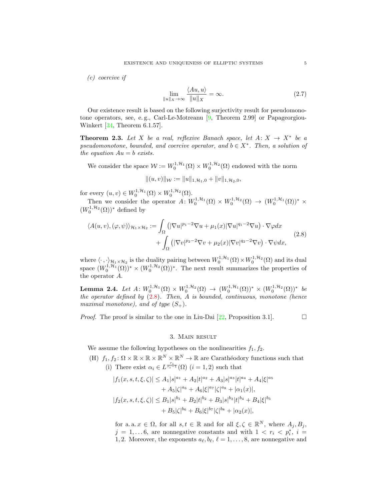(c) coercive if

<span id="page-4-4"></span>
$$
\lim_{\|u\|_{X}\to\infty} \frac{\langle Au, u\rangle}{\|u\|_{X}} = \infty.
$$
\n(2.7)

Our existence result is based on the following surjectivity result for pseudomonotone operators, see, e.g., Carl-Le-Motreanu  $[9,$  Theorem 2.99 or Papageorgiou-Winkert [\[34,](#page-12-18) Theorem 6.1.57].

<span id="page-4-1"></span>**Theorem 2.3.** Let X be a real, reflexive Banach space, let  $A: X \rightarrow X^*$  be a pseudomonotone, bounded, and coercive operator, and  $b \in X^*$ . Then, a solution of the equation  $Au = b$  exists.

We consider the space  $W := W_0^{1, \mathcal{H}_1}(\Omega) \times W_0^{1, \mathcal{H}_2}(\Omega)$  endowed with the norm

<span id="page-4-2"></span>
$$
|| (u, v) ||_{\mathcal{W}} := ||u||_{1, \mathcal{H}_1, 0} + ||v||_{1, \mathcal{H}_2, 0},
$$

for every  $(u, v) \in W_0^{1, \mathcal{H}_1}(\Omega) \times W_0^{1, \mathcal{H}_2}(\Omega)$ .

Then we consider the operator  $A: W_0^{1,\mathcal{H}_1}(\Omega) \times W_0^{1,\mathcal{H}_2}(\Omega) \to (W_0^{1,\mathcal{H}_1}(\Omega))^*$  $(W_0^{1,\mathcal{H}_2}(\Omega))^*$  defined by

$$
\langle A(u,v),(\varphi,\psi)\rangle_{\mathcal{H}_1\times\mathcal{H}_2} := \int_{\Omega} \left( |\nabla u|^{p_1-2} \nabla u + \mu_1(x) |\nabla u|^{q_1-2} \nabla u \right) \cdot \nabla \varphi dx + \int_{\Omega} \left( |\nabla v|^{p_2-2} \nabla v + \mu_2(x) |\nabla v|^{q_2-2} \nabla v \right) \cdot \nabla \psi dx,
$$
\n(2.8)

where  $\langle \cdot, \cdot \rangle_{\mathcal{H}_1 \times \mathcal{H}_2}$  is the duality pairing between  $W_0^{1,\mathcal{H}_1}(\Omega) \times W_0^{1,\mathcal{H}_2}(\Omega)$  and its dual space  $(W_0^{1,\mathcal{H}_1}(\Omega))^* \times (W_0^{1,\mathcal{H}_2}(\Omega))^*$ . The next result summarizes the properties of the operator A.

<span id="page-4-3"></span>Lemma 2.4. Let  $A: W_0^{1, H_1}(\Omega) \times W_0^{1, H_2}(\Omega) \to (W_0^{1, H_1}(\Omega))^* \times (W_0^{1, H_2}(\Omega))^*$  be the operator defined by  $(2.8)$ . Then, A is bounded, continuous, monotone (hence maximal monotone), and of type  $(S_+).$ 

*Proof.* The proof is similar to the one in Liu-Dai [\[22,](#page-11-12) Proposition 3.1].

# 3. Main result

<span id="page-4-0"></span>We assume the following hypotheses on the nonlinearities  $f_1, f_2$ .

(H)  $f_1, f_2 \colon \Omega \times \mathbb{R} \times \mathbb{R} \times \mathbb{R}^N \times \mathbb{R}^N \to \mathbb{R}$  are Carathéodory functions such that (i) There exist  $\alpha_i \in L^{\frac{r_i}{r_i-1}}(\Omega)$   $(i = 1, 2)$  such that

$$
|f_1(x, s, t, \xi, \zeta)| \le A_1 |s|^{a_1} + A_2 |t|^{a_2} + A_3 |s|^{a_3} |t|^{a_4} + A_4 |\xi|^{a_5}
$$
  
+  $A_5 |\zeta|^{a_6} + A_6 |\xi|^{a_7} |\zeta|^{a_8} + |\alpha_1(x)|,$   

$$
|f_2(x, s, t, \xi, \zeta)| \le B_1 |s|^{b_1} + B_2 |t|^{b_2} + B_3 |s|^{b_3} |t|^{b_4} + B_4 |\xi|^{b_5}
$$
  
+  $B_5 |\zeta|^{b_6} + B_6 |\xi|^{b_7} |\zeta|^{b_8} + |\alpha_2(x)|,$ 

for a. a.  $x \in \Omega$ , for all  $s, t \in \mathbb{R}$  and for all  $\xi, \zeta \in \mathbb{R}^N$ , where  $A_j, B_j$ ,  $j = 1, \ldots 6$ , are nonnegative constants and with  $1 \langle r_i \rangle \langle p_i^*, i \rangle =$ 1, 2. Moreover, the exponents  $a_{\ell}, b_{\ell}, \ell = 1, \ldots, 8$ , are nonnegative and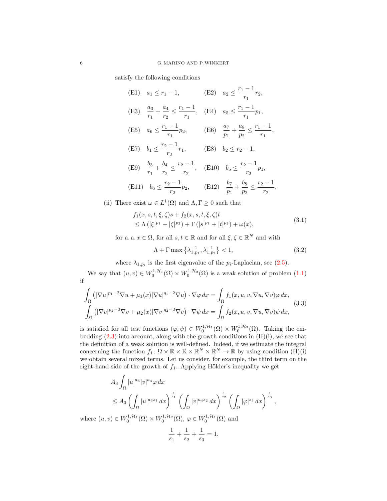satisfy the following conditions

(E1) 
$$
a_1 \le r_1 - 1
$$
,   
\n(E2)  $a_2 \le \frac{r_1 - 1}{r_1} r_2$ ,  
\n(E3)  $\frac{a_3}{r_1} + \frac{a_4}{r_2} \le \frac{r_1 - 1}{r_1}$ , (E4)  $a_5 \le \frac{r_1 - 1}{r_1} p_1$ ,  
\n(E5)  $a_6 \le \frac{r_1 - 1}{r_1} p_2$ , (E6)  $\frac{a_7}{p_1} + \frac{a_8}{p_2} \le \frac{r_1 - 1}{r_1}$ ,  
\n(E7)  $b_1 \le \frac{r_2 - 1}{r_2} r_1$ , (E8)  $b_2 \le r_2 - 1$ ,  
\n(E9)  $\frac{b_3}{r_1} + \frac{b_4}{r_2} \le \frac{r_2 - 1}{r_2}$ , (E10)  $b_5 \le \frac{r_2 - 1}{r_2} p_1$ ,  
\n(E11)  $b_6 \le \frac{r_2 - 1}{r_2} p_2$ , (E12)  $\frac{b_7}{p_1} + \frac{b_8}{p_2} \le \frac{r_2 - 1}{r_2}$ .

(ii) There exist  $\omega \in L^1(\Omega)$  and  $\Lambda, \Gamma \geq 0$  such that

$$
f_1(x, s, t, \xi, \zeta)s + f_2(x, s, t, \xi, \zeta)t
$$
  
\n
$$
\leq \Lambda (|\xi|^{p_1} + |\zeta|^{p_2}) + \Gamma (|s|^{p_1} + |t|^{p_2}) + \omega(x),
$$
\n(3.1)

for a. a.  $x \in \Omega$ , for all  $s, t \in \mathbb{R}$  and for all  $\xi, \zeta \in \mathbb{R}^N$  and with

<span id="page-5-2"></span><span id="page-5-1"></span><span id="page-5-0"></span>
$$
\Lambda + \Gamma \max \left\{ \lambda_{1, p_1}^{-1}, \lambda_{1, p_2}^{-1} \right\} < 1,\tag{3.2}
$$

where  $\lambda_{1,p_i}$  is the first eigenvalue of the  $p_i$ -Laplacian, see [\(2.5\)](#page-3-2).

We say that  $(u, v) \in W_0^{1, H_1}(\Omega) \times W_0^{1, H_2}(\Omega)$  is a weak solution of problem  $(1.1)$ if

$$
\int_{\Omega} \left( |\nabla u|^{p_1 - 2} \nabla u + \mu_1(x) |\nabla u|^{q_1 - 2} \nabla u \right) \cdot \nabla \varphi \, dx = \int_{\Omega} f_1(x, u, v, \nabla u, \nabla v) \varphi \, dx, \n\int_{\Omega} \left( |\nabla v|^{p_2 - 2} \nabla v + \mu_2(x) |\nabla v|^{q_2 - 2} \nabla v \right) \cdot \nabla \psi \, dx = \int_{\Omega} f_2(x, u, v, \nabla u, \nabla v) \psi \, dx,
$$
\n(3.3)

is satisfied for all test functions  $(\varphi, \psi) \in W_0^{1, \mathcal{H}_1}(\Omega) \times W_0^{1, \mathcal{H}_2}(\Omega)$ . Taking the embedding  $(2.3)$  into account, along with the growth conditions in  $(H)(i)$ , we see that the definition of a weak solution is well-defined. Indeed, if we estimate the integral concerning the function  $f_1: \Omega \times \mathbb{R} \times \mathbb{R} \times \mathbb{R}^N \times \mathbb{R}^N \to \mathbb{R}$  by using condition  $(H)(i)$ we obtain several mixed terms. Let us consider, for example, the third term on the right-hand side of the growth of  $f_1$ . Applying Hölder's inequality we get

$$
A_3 \int_{\Omega} |u|^{a_3} |v|^{a_4} \varphi \, dx
$$
  
\n
$$
\leq A_3 \left( \int_{\Omega} |u|^{a_3 s_1} dx \right)^{\frac{1}{s_1}} \left( \int_{\Omega} |v|^{a_4 s_2} dx \right)^{\frac{1}{s_2}} \left( \int_{\Omega} |\varphi|^{s_3} dx \right)^{\frac{1}{s_3}},
$$

where  $(u, v) \in W_0^{1, H_1}(\Omega) \times W_0^{1, H_2}(\Omega)$ ,  $\varphi \in W_0^{1, H_1}(\Omega)$  and

$$
\frac{1}{s_1} + \frac{1}{s_2} + \frac{1}{s_3} = 1.
$$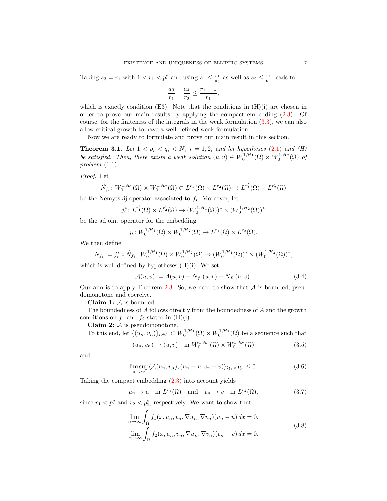Taking  $s_3 = r_1$  with  $1 < r_1 < p_1^*$  and using  $s_1 \leq \frac{r_1}{a_3}$  as well as  $s_2 \leq \frac{r_2}{a_4}$  leads to

$$
\frac{a_3}{r_1}+\frac{a_4}{r_2}\leq \frac{r_1-1}{r_1},
$$

which is exactly condition (E3). Note that the conditions in  $(H)(i)$  are chosen in order to prove our main results by applying the compact embedding [\(2.3\)](#page-3-3). Of course, for the finiteness of the integrals in the weak formulation [\(3.3\)](#page-5-0), we can also allow critical growth to have a well-defined weak formulation.

Now we are ready to formulate and prove our main result in this section.

<span id="page-6-0"></span>**Theorem 3.1.** Let  $1 < p_i < q_i < N$ ,  $i = 1, 2$ , and let hypotheses [\(2.1\)](#page-2-1) and (H) be satisfied. Then, there exists a weak solution  $(u, v) \in W_0^{1, H_1}(\Omega) \times W_0^{1, H_2}(\Omega)$  of problem  $(1.1)$ .

Proof. Let

$$
\hat{N}_{f_i}: W_0^{1, \mathcal{H}_1}(\Omega) \times W_0^{1, \mathcal{H}_2}(\Omega) \subset L^{r_1}(\Omega) \times L^{r_2}(\Omega) \to L^{r'_1}(\Omega) \times L^{r'_2}(\Omega)
$$

be the Nemytskij operator associated to  $f_i$ . Moreover, let

$$
j_i^*: L^{r'_1}(\Omega) \times L^{r'_2}(\Omega) \to (W_0^{1,\mathcal{H}_1}(\Omega))^* \times (W_0^{1,\mathcal{H}_2}(\Omega))^*
$$

be the adjoint operator for the embedding

$$
j_i\colon W_0^{1,\mathcal{H}_1}(\Omega)\times W_0^{1,\mathcal{H}_2}(\Omega)\to L^{r_1}(\Omega)\times L^{r_2}(\Omega).
$$

We then define

$$
N_{f_i} := j_i^* \circ \hat{N}_{f_i} \colon W_0^{1, \mathcal{H}_1}(\Omega) \times W_0^{1, \mathcal{H}_2}(\Omega) \to (W_0^{1, \mathcal{H}_1}(\Omega))^* \times (W_0^{1, \mathcal{H}_2}(\Omega))^*,
$$

which is well-defined by hypotheses  $(H)(i)$ . We set

<span id="page-6-5"></span>
$$
\mathcal{A}(u,v) := A(u,v) - N_{f_1}(u,v) - N_{f_2}(u,v). \tag{3.4}
$$

Our aim is to apply Theorem [2.3.](#page-4-1) So, we need to show that  $A$  is bounded, pseudomonotone and coercive.

Claim 1:  $A$  is bounded.

The boundedness of  $A$  follows directly from the boundedness of  $A$  and the growth conditions on  $f_1$  and  $f_2$  stated in (H)(i).

Claim 2:  $\mathcal{A}$  is pseudomonotone.

To this end, let  $\{(u_n, v_n)\}_{n \in \mathbb{N}} \subset W_0^{1, H_1}(\Omega) \times W_0^{1, H_2}(\Omega)$  be a sequence such that

<span id="page-6-4"></span><span id="page-6-3"></span>
$$
(u_n, v_n) \to (u, v) \quad \text{in } W_0^{1, \mathcal{H}_1}(\Omega) \times W_0^{1, \mathcal{H}_2}(\Omega) \tag{3.5}
$$

and

<span id="page-6-2"></span>
$$
\limsup_{n \to \infty} \langle \mathcal{A}(u_n, v_n), (u_n - u, v_n - v) \rangle_{\mathcal{H}_1 \times \mathcal{H}_2} \le 0.
$$
 (3.6)

Taking the compact embedding [\(2.3\)](#page-3-3) into account yields

$$
u_n \to u \quad \text{in } L^{r_1}(\Omega) \quad \text{and} \quad v_n \to v \quad \text{in } L^{r_2}(\Omega), \tag{3.7}
$$

since  $r_1 < p_1^*$  and  $r_2 < p_2^*$ , respectively. We want to show that

<span id="page-6-1"></span>
$$
\lim_{n \to \infty} \int_{\Omega} f_1(x, u_n, v_n, \nabla u_n, \nabla v_n)(u_n - u) dx = 0,
$$
\n
$$
\lim_{n \to \infty} \int_{\Omega} f_2(x, u_n, v_n, \nabla u_n, \nabla v_n)(v_n - v) dx = 0.
$$
\n(3.8)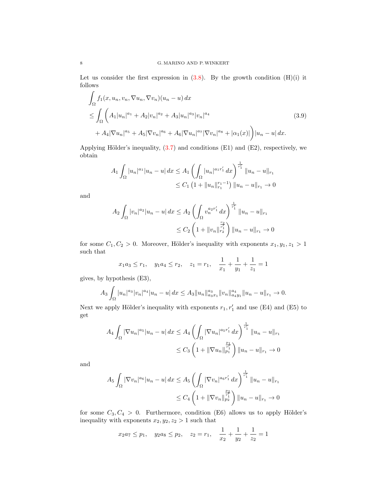Let us consider the first expression in  $(3.8)$ . By the growth condition  $(H)(i)$  it follows

$$
\int_{\Omega} f_1(x, u_n, v_n, \nabla u_n, \nabla v_n)(u_n - u) dx
$$
\n
$$
\leq \int_{\Omega} \left( A_1 |u_n|^{a_1} + A_2 |v_n|^{a_2} + A_3 |u_n|^{a_3} |v_n|^{a_4} + A_4 |\nabla u_n|^{a_5} + A_5 |\nabla v_n|^{a_6} + A_6 |\nabla u_n|^{a_7} |\nabla v_n|^{a_8} + |\alpha_1(x)| \right) |u_n - u| dx.
$$
\n(3.9)

Applying Hölder's inequality,  $(3.7)$  and conditions (E1) and (E2), respectively, we obtain

<span id="page-7-0"></span>
$$
A_1 \int_{\Omega} |u_n|^{a_1} |u_n - u| dx \le A_1 \left( \int_{\Omega} |u_n|^{a_1 r'_1} dx \right)^{\frac{1}{r'_1}} \|u_n - u\|_{r_1}
$$
  

$$
\le C_1 \left( 1 + \|u_n\|_{r_1}^{r_1 - 1} \right) \|u_n - u\|_{r_1} \to 0
$$

and

$$
A_2 \int_{\Omega} |v_n|^{a_2} |u_n - u| dx \le A_2 \left( \int_{\Omega} v_n^{a_2 r'_1} dx \right)^{\frac{1}{r'_1}} \|u_n - u\|_{r_1}
$$
  

$$
\le C_2 \left( 1 + \|v_n\|_{r_2}^{\frac{r_2}{r'_1}} \right) \|u_n - u\|_{r_1} \to 0
$$

for some  $C_1, C_2 > 0$ . Moreover, Hölder's inequality with exponents  $x_1, y_1, z_1 > 1$ such that

$$
x_1 a_3 \le r_1
$$
,  $y_1 a_4 \le r_2$ ,  $z_1 = r_1$ ,  $\frac{1}{x_1} + \frac{1}{y_1} + \frac{1}{z_1} = 1$ 

gives, by hypothesis (E3),

$$
A_3 \int_{\Omega} |u_n|^{a_3} |v_n|^{a_4} |u_n - u| dx \le A_3 \|u_n\|_{a_3 x_1}^{a_3} \|v_n\|_{a_4 y_1}^{a_4} \|u_n - u\|_{r_1} \to 0.
$$

Next we apply Hölder's inequality with exponents  $r_1, r'_1$  and use (E4) and (E5) to get

$$
A_4 \int_{\Omega} |\nabla u_n|^{a_5} |u_n - u| dx \le A_4 \left( \int_{\Omega} |\nabla u_n|^{a_5 r'_1} dx \right)^{\frac{1}{r'_1}} \|u_n - u\|_{r_1}
$$
  

$$
\le C_3 \left( 1 + \|\nabla u_n\|_{p_1}^{\frac{p_1}{r'_1}} \right) \|u_n - u\|_{r_1} \to 0
$$

and

$$
A_5 \int_{\Omega} |\nabla v_n|^{a_6} |u_n - u| dx \le A_5 \left( \int_{\Omega} |\nabla v_n|^{a_6 r'_1} dx \right)^{\frac{1}{r'_1}} \|u_n - u\|_{r_1}
$$
  

$$
\le C_4 \left( 1 + \|\nabla v_n\|_{p_2}^{\frac{p_2}{r'_1}} \right) \|u_n - u\|_{r_1} \to 0
$$

for some  $C_3, C_4 > 0$ . Furthermore, condition (E6) allows us to apply Hölder's inequality with exponents  $x_2, y_2, z_2 > 1$  such that

$$
x_2a_7 \leq p_1
$$
,  $y_2a_8 \leq p_2$ ,  $z_2 = r_1$ ,  $\frac{1}{x_2} + \frac{1}{y_2} + \frac{1}{z_2} = 1$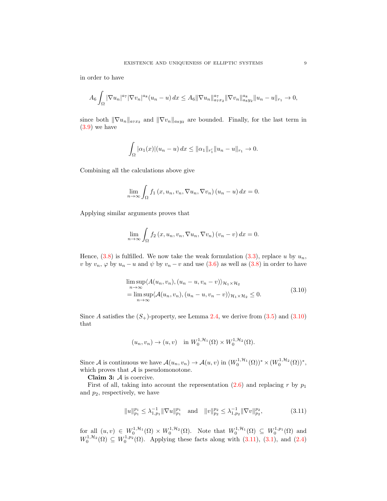in order to have

$$
A_6 \int_{\Omega} |\nabla u_n|^{a_7} |\nabla v_n|^{a_8} (u_n - u) \, dx \leq A_6 \|\nabla u_n\|_{a_7 x_2}^{a_7} \|\nabla v_n\|_{a_8 y_2}^{a_8} \|u_n - u\|_{r_1} \to 0,
$$

since both  $\|\nabla u_n\|_{a_7x_2}$  and  $\|\nabla v_n\|_{a_8y_2}$  are bounded. Finally, for the last term in [\(3.9\)](#page-7-0) we have

$$
\int_{\Omega} |\alpha_1(x)| (u_n - u) \, dx \le ||\alpha_1||_{r_1'} ||u_n - u||_{r_1} \to 0.
$$

Combining all the calculations above give

$$
\lim_{n \to \infty} \int_{\Omega} f_1(x, u_n, v_n, \nabla u_n, \nabla v_n) (u_n - u) dx = 0.
$$

Applying similar arguments proves that

$$
\lim_{n \to \infty} \int_{\Omega} f_2(x, u_n, v_n, \nabla u_n, \nabla v_n) (v_n - v) dx = 0.
$$

Hence,  $(3.8)$  is fulfilled. We now take the weak formulation  $(3.3)$ , replace u by  $u_n$ , v by  $v_n$ ,  $\varphi$  by  $u_n - u$  and  $\psi$  by  $v_n - v$  and use [\(3.6\)](#page-6-3) as well as [\(3.8\)](#page-6-1) in order to have

<span id="page-8-0"></span>
$$
\limsup_{n \to \infty} \langle A(u_n, v_n), (u_n - u, v_n - v) \rangle_{\mathcal{H}_1 \times \mathcal{H}_2}
$$
  
= 
$$
\limsup_{n \to \infty} \langle A(u_n, v_n), (u_n - u, v_n - v) \rangle_{\mathcal{H}_1 \times \mathcal{H}_2} \le 0.
$$
 (3.10)

Since A satisfies the  $(S_+)$ -property, see Lemma [2.4,](#page-4-3) we derive from  $(3.5)$  and  $(3.10)$ that

$$
(u_n, v_n) \to (u, v)
$$
 in  $W_0^{1, H_1}(\Omega) \times W_0^{1, H_2}(\Omega)$ .

Since A is continuous we have  $\mathcal{A}(u_n, v_n) \to \mathcal{A}(u, v)$  in  $(W_0^{1, \mathcal{H}_1}(\Omega))^* \times (W_0^{1, \mathcal{H}_2}(\Omega))^*$ , which proves that  $A$  is pseudomonotone.

Claim 3: A is coercive.

First of all, taking into account the representation  $(2.6)$  and replacing r by  $p_1$ and  $p_2$ , respectively, we have

<span id="page-8-1"></span>
$$
||u||_{p_1}^{p_1} \le \lambda_{1,p_1}^{-1} ||\nabla u||_{p_1}^{p_1} \quad \text{and} \quad ||v||_{p_2}^{p_2} \le \lambda_{1,p_2}^{-1} ||\nabla v||_{p_2}^{p_2},\tag{3.11}
$$

for all  $(u, v) \in W_0^{1, H_1}(\Omega) \times W_0^{1, H_2}(\Omega)$ . Note that  $W_0^{1, H_1}(\Omega) \subseteq W_0^{1, p_1}(\Omega)$  and  $W_0^{1,\mathcal{H}_2}(\Omega) \subseteq W_0^{1,p_2}(\Omega)$ . Applying these facts along with  $(3.11)$ ,  $(3.1)$ , and  $(2.4)$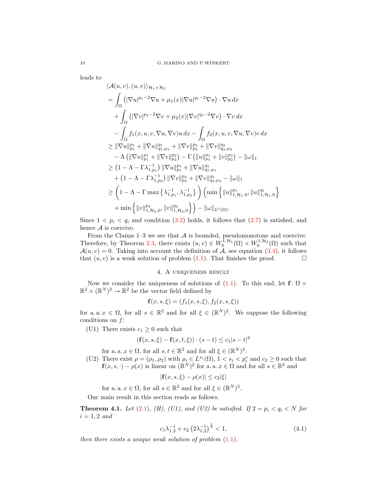leads to

$$
\langle \mathcal{A}(u, v), (u, v) \rangle_{\mathcal{H}_1 \times \mathcal{H}_2}
$$
\n
$$
= \int_{\Omega} \left( |\nabla u|^{p_1 - 2} \nabla u + \mu_1(x) |\nabla u|^{q_1 - 2} \nabla u \right) \cdot \nabla u \, dx
$$
\n
$$
+ \int_{\Omega} \left( |\nabla v|^{p_2 - 2} \nabla v + \mu_2(x) |\nabla v|^{q_2 - 2} \nabla v \right) \cdot \nabla v \, dx
$$
\n
$$
- \int_{\Omega} f_1(x, u, v, \nabla u, \nabla v) u \, dx - \int_{\Omega} f_2(x, u, v, \nabla u, \nabla v) v \, dx
$$
\n
$$
\geq ||\nabla u||_{p_1}^{p_1} + ||\nabla u||_{q_1, \mu_1}^{q_1} + ||\nabla v||_{p_2}^{p_2} + ||\nabla v||_{q_2, \mu_2}^{q_2}
$$
\n
$$
- \Lambda \left( ||\nabla u||_{p_1}^{p_1} + ||\nabla v||_{p_2}^{p_2} \right) - \Gamma \left( ||u||_{p_1}^{p_1} + ||v||_{p_2}^{p_2} \right) - ||\omega||_1
$$
\n
$$
\geq \left( 1 - \Lambda - \Gamma \lambda_{1, p_1}^{-1} \right) ||\nabla u||_{p_1}^{p_1} + ||\nabla u||_{q_1, \mu_1}^{q_1}
$$
\n
$$
+ \left( 1 - \Lambda - \Gamma \lambda_{1, p_2}^{-1} \right) ||\nabla v||_{p_2}^{p_2} + ||\nabla v||_{q_2, \mu_2}^{q_2} - ||\omega||_1
$$
\n
$$
\geq \left( 1 - \Lambda - \Gamma \max \left\{ \lambda_{1, p_1}^{-1}, \lambda_{1, p_2}^{-1} \right\} \right) \left( \min \left\{ ||u||_{1, \mathcal{H}_1, 0}^{p_1}, ||u||_{1, \mathcal{H}_1, 0}^{q_1} \right\}
$$
\n
$$
+ \min \left\{ ||v||_{1, \mathcal{H
$$

Since  $1 < p_i < q_i$  and condition [\(3.2\)](#page-5-2) holds, it follows that [\(2.7\)](#page-4-4) is satisfied, and hence  $A$  is coercive.

From the Claims  $1-3$  we see that  $A$  is bounded, pseudomonotone and coercive. Therefore, by Theorem [2.3,](#page-4-1) there exists  $(u, v) \in W_0^{1, H_1}(\Omega) \times W_0^{1, H_2}(\Omega)$  such that  $\mathcal{A}(u, v) = 0$ . Taking into account the definition of  $\tilde{\mathcal{A}}$ , see equation [\(3.4\)](#page-6-5), it follows that  $(u, v)$  is a weak solution of problem [\(1.1\)](#page-0-0). That finishes the proof.

# 4. A uniqueness result

<span id="page-9-0"></span>Now we consider the uniqueness of solutions of [\(1.1\)](#page-0-0). To this end, let  $f: \Omega \times$  $\mathbb{R}^2 \times (\mathbb{R}^N)^2 \to \mathbb{R}^2$  be the vector field defined by

$$
\mathbf{f}(x, s, \xi) = (f_1(x, s, \xi), f_2(x, s, \xi))
$$

for a. a.  $x \in \Omega$ , for all  $s \in \mathbb{R}^2$  and for all  $\xi \in (\mathbb{R}^N)^2$ . We suppose the following conditions on f:

(U1) There exists  $c_1 \geq 0$  such that

$$
(\mathbf{f}(x,s,\xi) - \mathbf{f}(x,t,\xi)) \cdot (s-t) \le c_1 |s-t|^2
$$

for a. a.  $x \in \Omega$ , for all  $s, t \in \mathbb{R}^2$  and for all  $\xi \in (\mathbb{R}^N)^2$ .

(U2) There exist  $\rho = (\rho_1, \rho_2)$  with  $\rho_i \in L^{s_i}(\Omega)$ ,  $1 < s_i < p_i^*$  and  $c_2 \geq 0$  such that  $f(x, s, \cdot) - \rho(x)$  is linear on  $(\mathbb{R}^N)^2$  for a. a.  $x \in \Omega$  and for all  $s \in \mathbb{R}^2$  and

$$
|\mathbf{f}(x,s,\xi) - \rho(x)| \le c_2|\xi|
$$

for a. a.  $x \in \Omega$ , for all  $s \in \mathbb{R}^2$  and for all  $\xi \in (\mathbb{R}^N)^2$ .

Our main result in this section reads as follows.

<span id="page-9-1"></span>**Theorem 4.1.** Let [\(2.1\)](#page-2-1), (H), (U1), and (U2) be satisfied. If  $2 = p_i < q_i < N$  for  $i = 1, 2 \text{ and}$ 

<span id="page-9-2"></span>
$$
c_1 \lambda_{1,2}^{-1} + c_2 \left(2\lambda_{1,2}^{-1}\right)^{\frac{1}{2}} < 1,\tag{4.1}
$$

then there exists a unique weak solution of problem  $(1.1)$ .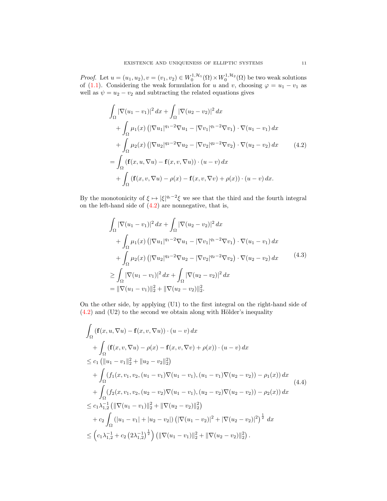*Proof.* Let  $u = (u_1, u_2), v = (v_1, v_2) \in W_0^{1, H_1}(\Omega) \times W_0^{1, H_2}(\Omega)$  be two weak solutions of [\(1.1\)](#page-0-0). Considering the weak formulation for u and v, choosing  $\varphi = u_1 - v_1$  as well as  $\psi = u_2 - v_2$  and subtracting the related equations gives

<span id="page-10-0"></span>
$$
\int_{\Omega} |\nabla (u_1 - v_1)|^2 dx + \int_{\Omega} |\nabla (u_2 - v_2)|^2 dx \n+ \int_{\Omega} \mu_1(x) (|\nabla u_1|^{q_1 - 2} \nabla u_1 - |\nabla v_1|^{q_1 - 2} \nabla v_1) \cdot \nabla (u_1 - v_1) dx \n+ \int_{\Omega} \mu_2(x) (|\nabla u_2|^{q_2 - 2} \nabla u_2 - |\nabla v_2|^{q_2 - 2} \nabla v_2) \cdot \nabla (u_2 - v_2) dx \qquad (4.2) \n= \int_{\Omega} (\mathbf{f}(x, u, \nabla u) - \mathbf{f}(x, v, \nabla u)) \cdot (u - v) dx \n+ \int_{\Omega} (\mathbf{f}(x, v, \nabla u) - \rho(x) - \mathbf{f}(x, v, \nabla v) + \rho(x)) \cdot (u - v) dx.
$$

By the monotonicity of  $\xi \mapsto |\xi|^{q_i-2}\xi$  we see that the third and the fourth integral on the left-hand side of  $(4.2)$  are nonnegative, that is,

<span id="page-10-1"></span>
$$
\int_{\Omega} |\nabla (u_1 - v_1)|^2 dx + \int_{\Omega} |\nabla (u_2 - v_2)|^2 dx \n+ \int_{\Omega} \mu_1(x) (|\nabla u_1|^{q_1 - 2} \nabla u_1 - |\nabla v_1|^{q_1 - 2} \nabla v_1) \cdot \nabla (u_1 - v_1) dx \n+ \int_{\Omega} \mu_2(x) (|\nabla u_2|^{q_2 - 2} \nabla u_2 - |\nabla v_2|^{q_2 - 2} \nabla v_2) \cdot \nabla (u_2 - v_2) dx \qquad (4.3) \n\geq \int_{\Omega} |\nabla (u_1 - v_1)|^2 dx + \int_{\Omega} |\nabla (u_2 - v_2)|^2 dx \n= ||\nabla (u_1 - v_1)||_2^2 + ||\nabla (u_2 - v_2)||_2^2.
$$

On the other side, by applying (U1) to the first integral on the right-hand side of  $(4.2)$  and  $(U2)$  to the second we obtain along with Hölder's inequality

<span id="page-10-2"></span>
$$
\int_{\Omega} \left( \mathbf{f}(x, u, \nabla u) - \mathbf{f}(x, v, \nabla u) \right) \cdot (u - v) dx \n+ \int_{\Omega} \left( \mathbf{f}(x, v, \nabla u) - \rho(x) - \mathbf{f}(x, v, \nabla v) + \rho(x) \right) \cdot (u - v) dx \n\leq c_1 \left( \|u_1 - v_1\|_2^2 + \|u_2 - v_2\|_2^2 \right) \n+ \int_{\Omega} (f_1(x, v_1, v_2, (u_1 - v_1) \nabla (u_1 - v_1), (u_1 - v_1) \nabla (u_2 - v_2)) - \rho_1(x) \right) dx \n+ \int_{\Omega} (f_2(x, v_1, v_2, (u_2 - v_2) \nabla (u_1 - v_1), (u_2 - v_2) \nabla (u_2 - v_2)) - \rho_2(x)) dx \n\leq c_1 \lambda_{1,2}^{-1} \left( \|\nabla (u_1 - v_1)\|_2^2 + \|\nabla (u_2 - v_2)\|_2^2 \right) \n+ c_2 \int_{\Omega} (|u_1 - v_1| + |u_2 - v_2|) \left( |\nabla (u_1 - v_2)|^2 + |\nabla (u_2 - v_2)|^2 \right)^{\frac{1}{2}} dx \n\leq (c_1 \lambda_{1,2}^{-1} + c_2 (2\lambda_{1,2}^{-1})^{\frac{1}{2}}) \left( \|\nabla (u_1 - v_1)\|_2^2 + \|\nabla (u_2 - v_2)\|_2^2 \right).
$$
\n(4.4)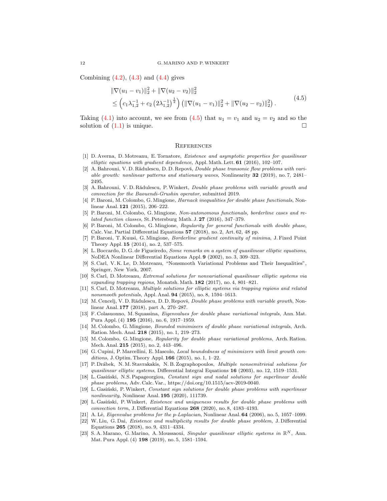Combining  $(4.2)$ ,  $(4.3)$  and  $(4.4)$  gives

$$
\|\nabla(u_1 - v_1)\|_2^2 + \|\nabla(u_2 - v_2)\|_2^2
$$
  
\n
$$
\leq \left(c_1\lambda_{1,2}^{-1} + c_2\left(2\lambda_{1,2}^{-1}\right)^{\frac{1}{2}}\right) \left(\|\nabla(u_1 - v_1)\|_2^2 + \|\nabla(u_2 - v_2)\|_2^2\right). \tag{4.5}
$$

Taking [\(4.1\)](#page-9-2) into account, we see from [\(4.5\)](#page-11-23) that  $u_1 = v_1$  and  $u_2 = v_2$  and so the solution of  $(1.1)$  is unique.

### <span id="page-11-23"></span>**REFERENCES**

- <span id="page-11-8"></span>[1] D. Averna, D. Motreanu, E. Tornatore, Existence and asymptotic properties for quasilinear elliptic equations with gradient dependence, Appl. Math. Lett. 61 (2016), 102-107.
- <span id="page-11-17"></span>[2] A. Bahrouni, V. D. Rădulescu, D. D. Repovš, *Double phase transonic flow problems with vari*able growth: nonlinear patterns and stationary waves, Nonlinearity 32 (2019), no. 7, 2481– 2495.
- <span id="page-11-18"></span>[3] A. Bahrouni, V. D. Rădulescu, P. Winkert, *Double phase problems with variable growth and* convection for the Baouendi-Grushin operator, submitted 2019.
- <span id="page-11-0"></span>[4] P. Baroni, M. Colombo, G. Mingione, Harnack inequalities for double phase functionals, Nonlinear Anal. 121 (2015), 206–222.
- <span id="page-11-1"></span>[5] P. Baroni, M. Colombo, G. Mingione, Non-autonomous functionals, borderline cases and related function classes, St. Petersburg Math. J. 27 (2016), 347–379.
- <span id="page-11-2"></span>[6] P. Baroni, M. Colombo, G. Mingione, Regularity for general functionals with double phase, Calc. Var. Partial Differential Equations 57 (2018), no. 2, Art. 62, 48 pp.
- <span id="page-11-3"></span>[7] P. Baroni, T. Kuusi, G. Mingione, Borderline gradient continuity of minima, J. Fixed Point Theory Appl. 15 (2014), no. 2, 537–575.
- <span id="page-11-13"></span>[8] L. Boccardo, D. G. de Figueiredo, Some remarks on a system of quasilinear elliptic equations, NoDEA Nonlinear Differential Equations Appl. 9 (2002), no. 3, 309–323.
- <span id="page-11-22"></span>[9] S. Carl, V. K. Le, D. Motreanu, "Nonsmooth Variational Problems and Their Inequalities", Springer, New York, 2007.
- <span id="page-11-14"></span>[10] S. Carl, D. Motreanu, Extremal solutions for nonvariational quasilinear elliptic systems via expanding trapping regions, Monatsh. Math. 182 (2017), no. 4, 801–821.
- <span id="page-11-15"></span>[11] S. Carl, D. Motreanu, Multiple solutions for elliptic systems via trapping regions and related nonsmooth potentials, Appl. Anal. 94 (2015), no. 8, 1594–1613.
- <span id="page-11-19"></span>[12] M. Cencelj, V. D. Rădulescu, D. D. Repovš, *Double phase problems with variable growth*, Nonlinear Anal. 177 (2018), part A, 270–287.
- <span id="page-11-9"></span>[13] F. Colasuonno, M. Squassina, Eigenvalues for double phase variational integrals, Ann. Mat. Pura Appl. (4) 195 (2016), no. 6, 1917–1959.
- <span id="page-11-5"></span>[14] M. Colombo, G. Mingione, Bounded minimisers of double phase variational integrals, Arch. Ration. Mech. Anal. 218 (2015), no. 1, 219–273.
- <span id="page-11-6"></span>[15] M. Colombo, G. Mingione, Regularity for double phase variational problems, Arch. Ration. Mech. Anal. 215 (2015), no. 2, 443–496.
- <span id="page-11-4"></span>[16] G. Cupini, P. Marcellini, E. Mascolo, Local boundedness of minimizers with limit growth conditions, J. Optim. Theory Appl.  $166$  (2015), no. 1, 1-22.
- <span id="page-11-16"></span>[17] P. Drábek, N. M. Stavrakakis, N. B. Zographopoulos, *Multiple nonsemitrivial solutions for* quasilinear elliptic systems, Differential Integral Equations  $16$  (2003), no. 12, 1519–1531.
- <span id="page-11-10"></span>[18] L. Gasiński, N.S. Papageorgiou, Constant sign and nodal solutions for superlinear double phase problems, Adv. Calc. Var., https://doi.org/10.1515/acv-2019-0040.
- <span id="page-11-11"></span>[19] L. Gasiński, P. Winkert, Constant sign solutions for double phase problems with superlinear nonlinearity, Nonlinear Anal. 195 (2020), 111739.
- <span id="page-11-7"></span>[20] L. Gasiński, P. Winkert, Existence and uniqueness results for double phase problems with convection term, J. Differential Equations 268 (2020), no. 8, 4183–4193.
- <span id="page-11-21"></span>[21] A. Lê, Eigenvalue problems for the p-Laplacian, Nonlinear Anal. 64 (2006), no. 5, 1057–1099.
- <span id="page-11-12"></span>[22] W. Liu, G. Dai, Existence and multiplicity results for double phase problem, J. Differential Equations 265 (2018), no. 9, 4311–4334.
- <span id="page-11-20"></span>[23] S. A. Marano, G. Marino, A. Moussaoui, Singular quasilinear elliptic systems in  $\mathbb{R}^N$ , Ann. Mat. Pura Appl. (4) 198 (2019), no. 5, 1581–1594.